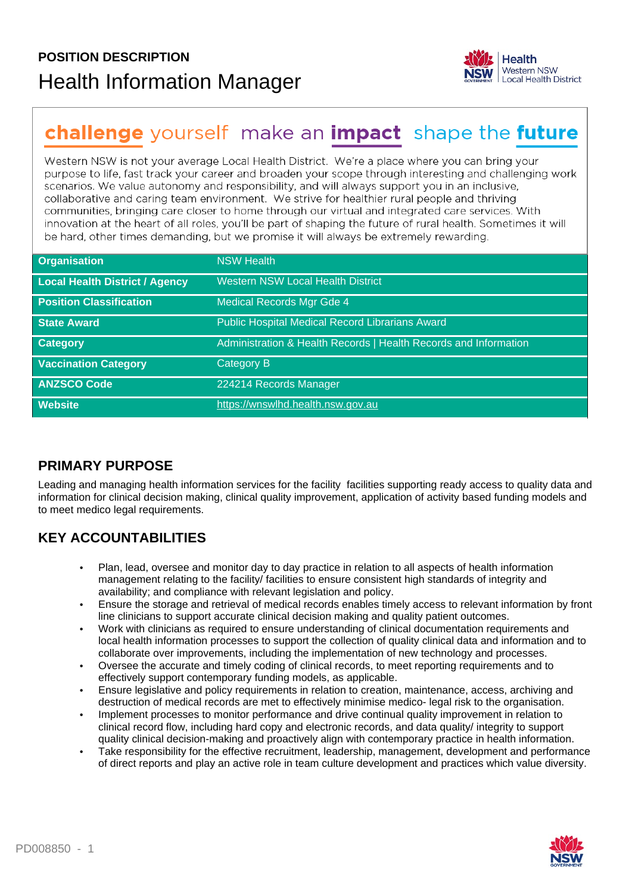

# challenge yourself make an impact shape the future

Western NSW is not your average Local Health District. We're a place where you can bring your purpose to life, fast track your career and broaden your scope through interesting and challenging work scenarios. We value autonomy and responsibility, and will always support you in an inclusive, collaborative and caring team environment. We strive for healthier rural people and thriving communities, bringing care closer to home through our virtual and integrated care services. With innovation at the heart of all roles, you'll be part of shaping the future of rural health. Sometimes it will be hard, other times demanding, but we promise it will always be extremely rewarding.

| <b>Organisation</b>                   | <b>NSW Health</b>                                                |
|---------------------------------------|------------------------------------------------------------------|
| <b>Local Health District / Agency</b> | <b>Western NSW Local Health District</b>                         |
| <b>Position Classification</b>        | <b>Medical Records Mgr Gde 4</b>                                 |
| <b>State Award</b>                    | Public Hospital Medical Record Librarians Award                  |
| <b>Category</b>                       | Administration & Health Records   Health Records and Information |
| <b>Vaccination Category</b>           | <b>Category B</b>                                                |
| <b>ANZSCO Code</b>                    | 224214 Records Manager                                           |
| <b>Website</b>                        | https://wnswlhd.health.nsw.gov.au                                |

#### **PRIMARY PURPOSE**

Leading and managing health information services for the facility facilities supporting ready access to quality data and information for clinical decision making, clinical quality improvement, application of activity based funding models and to meet medico legal requirements.

#### **KEY ACCOUNTABILITIES**

- Plan, lead, oversee and monitor day to day practice in relation to all aspects of health information management relating to the facility/ facilities to ensure consistent high standards of integrity and availability; and compliance with relevant legislation and policy.
- Ensure the storage and retrieval of medical records enables timely access to relevant information by front line clinicians to support accurate clinical decision making and quality patient outcomes.
- Work with clinicians as required to ensure understanding of clinical documentation requirements and local health information processes to support the collection of quality clinical data and information and to collaborate over improvements, including the implementation of new technology and processes.
- Oversee the accurate and timely coding of clinical records, to meet reporting requirements and to effectively support contemporary funding models, as applicable.
- Ensure legislative and policy requirements in relation to creation, maintenance, access, archiving and destruction of medical records are met to effectively minimise medico- legal risk to the organisation.
- Implement processes to monitor performance and drive continual quality improvement in relation to clinical record flow, including hard copy and electronic records, and data quality/ integrity to support quality clinical decision-making and proactively align with contemporary practice in health information.
- Take responsibility for the effective recruitment, leadership, management, development and performance of direct reports and play an active role in team culture development and practices which value diversity.

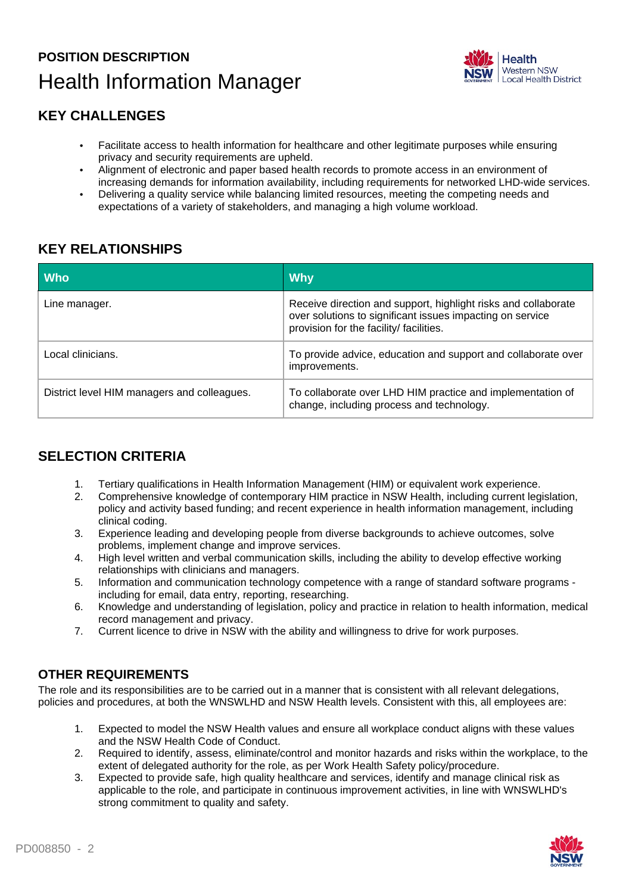### **POSITION DESCRIPTION** Health Information Manager



#### **KEY CHALLENGES**

- Facilitate access to health information for healthcare and other legitimate purposes while ensuring privacy and security requirements are upheld.
- Alignment of electronic and paper based health records to promote access in an environment of increasing demands for information availability, including requirements for networked LHD-wide services.
- Delivering a quality service while balancing limited resources, meeting the competing needs and expectations of a variety of stakeholders, and managing a high volume workload.

#### **KEY RELATIONSHIPS**

| <b>Who</b>                                  | <b>Why</b>                                                                                                                                                             |
|---------------------------------------------|------------------------------------------------------------------------------------------------------------------------------------------------------------------------|
| Line manager.                               | Receive direction and support, highlight risks and collaborate<br>over solutions to significant issues impacting on service<br>provision for the facility/ facilities. |
| Local clinicians.                           | To provide advice, education and support and collaborate over<br>improvements.                                                                                         |
| District level HIM managers and colleagues. | To collaborate over LHD HIM practice and implementation of<br>change, including process and technology.                                                                |

#### **SELECTION CRITERIA**

- 1. Tertiary qualifications in Health Information Management (HIM) or equivalent work experience.
- 2. Comprehensive knowledge of contemporary HIM practice in NSW Health, including current legislation, policy and activity based funding; and recent experience in health information management, including clinical coding.
- 3. Experience leading and developing people from diverse backgrounds to achieve outcomes, solve problems, implement change and improve services.
- 4. High level written and verbal communication skills, including the ability to develop effective working relationships with clinicians and managers.
- 5. Information and communication technology competence with a range of standard software programs including for email, data entry, reporting, researching.
- 6. Knowledge and understanding of legislation, policy and practice in relation to health information, medical record management and privacy.
- 7. Current licence to drive in NSW with the ability and willingness to drive for work purposes.

#### **OTHER REQUIREMENTS**

The role and its responsibilities are to be carried out in a manner that is consistent with all relevant delegations, policies and procedures, at both the WNSWLHD and NSW Health levels. Consistent with this, all employees are:

- 1. Expected to model the NSW Health values and ensure all workplace conduct aligns with these values and the NSW Health Code of Conduct.
- 2. Required to identify, assess, eliminate/control and monitor hazards and risks within the workplace, to the extent of delegated authority for the role, as per Work Health Safety policy/procedure.
- 3. Expected to provide safe, high quality healthcare and services, identify and manage clinical risk as applicable to the role, and participate in continuous improvement activities, in line with WNSWLHD's strong commitment to quality and safety.

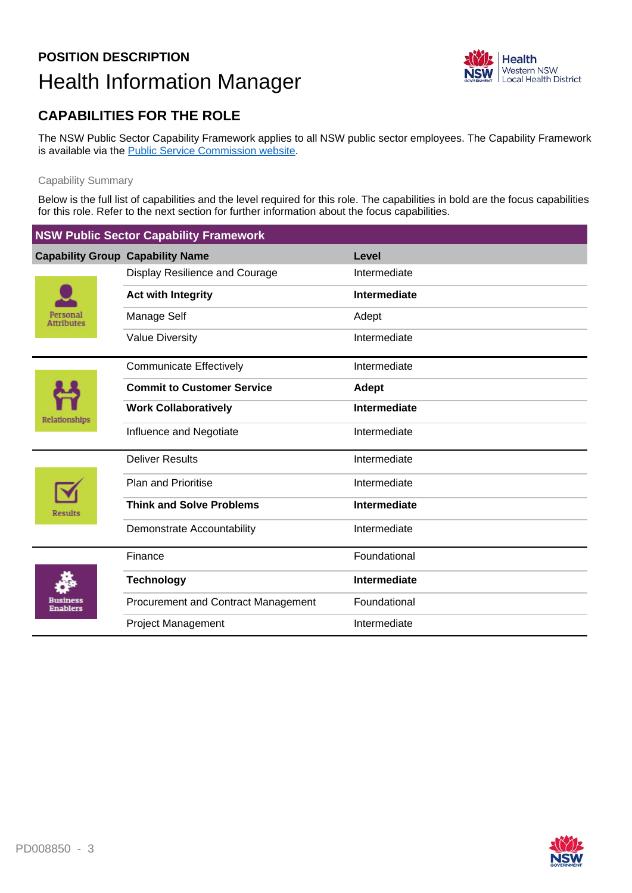## **POSITION DESCRIPTION** Health Information Manager



### **CAPABILITIES FOR THE ROLE**

The NSW Public Sector Capability Framework applies to all NSW public sector employees. The Capability Framework is available via the **Public Service Commission website**.

#### Capability Summary

Below is the full list of capabilities and the level required for this role. The capabilities in bold are the focus capabilities for this role. Refer to the next section for further information about the focus capabilities.

| <b>NSW Public Sector Capability Framework</b> |                                         |              |  |  |
|-----------------------------------------------|-----------------------------------------|--------------|--|--|
|                                               | <b>Capability Group Capability Name</b> | Level        |  |  |
| Personal<br><b>Attributes</b>                 | Display Resilience and Courage          | Intermediate |  |  |
|                                               | <b>Act with Integrity</b>               | Intermediate |  |  |
|                                               | Manage Self                             | Adept        |  |  |
|                                               | <b>Value Diversity</b>                  | Intermediate |  |  |
|                                               | <b>Communicate Effectively</b>          | Intermediate |  |  |
| Relationships                                 | <b>Commit to Customer Service</b>       | Adept        |  |  |
|                                               | <b>Work Collaboratively</b>             | Intermediate |  |  |
|                                               | Influence and Negotiate                 | Intermediate |  |  |
| Results                                       | <b>Deliver Results</b>                  | Intermediate |  |  |
|                                               | <b>Plan and Prioritise</b>              | Intermediate |  |  |
|                                               | <b>Think and Solve Problems</b>         | Intermediate |  |  |
|                                               | Demonstrate Accountability              | Intermediate |  |  |
|                                               | Finance                                 | Foundational |  |  |
| <b>Enablers</b>                               | <b>Technology</b>                       | Intermediate |  |  |
|                                               | Procurement and Contract Management     | Foundational |  |  |
|                                               | <b>Project Management</b>               | Intermediate |  |  |

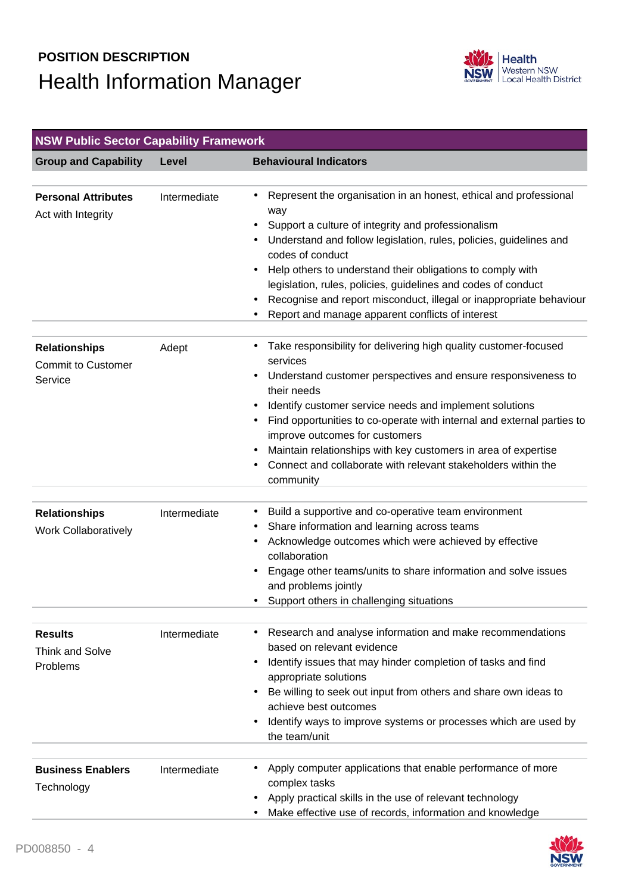# **POSITION DESCRIPTION** Health Information Manager



|                                                              | <b>NSW Public Sector Capability Framework</b> |                                                                                                                                                                                                                                                                                                                                                                                                                                                                                                 |  |  |  |
|--------------------------------------------------------------|-----------------------------------------------|-------------------------------------------------------------------------------------------------------------------------------------------------------------------------------------------------------------------------------------------------------------------------------------------------------------------------------------------------------------------------------------------------------------------------------------------------------------------------------------------------|--|--|--|
| <b>Group and Capability</b>                                  | Level                                         | <b>Behavioural Indicators</b>                                                                                                                                                                                                                                                                                                                                                                                                                                                                   |  |  |  |
| <b>Personal Attributes</b><br>Act with Integrity             | Intermediate                                  | Represent the organisation in an honest, ethical and professional<br>way<br>Support a culture of integrity and professionalism<br>Understand and follow legislation, rules, policies, guidelines and<br>codes of conduct<br>Help others to understand their obligations to comply with<br>$\bullet$<br>legislation, rules, policies, guidelines and codes of conduct<br>Recognise and report misconduct, illegal or inappropriate behaviour<br>Report and manage apparent conflicts of interest |  |  |  |
| <b>Relationships</b><br><b>Commit to Customer</b><br>Service | Adept                                         | Take responsibility for delivering high quality customer-focused<br>services<br>Understand customer perspectives and ensure responsiveness to<br>٠<br>their needs<br>Identify customer service needs and implement solutions<br>Find opportunities to co-operate with internal and external parties to<br>٠<br>improve outcomes for customers<br>Maintain relationships with key customers in area of expertise<br>Connect and collaborate with relevant stakeholders within the<br>community   |  |  |  |
| <b>Relationships</b><br><b>Work Collaboratively</b>          | Intermediate                                  | Build a supportive and co-operative team environment<br>Share information and learning across teams<br>Acknowledge outcomes which were achieved by effective<br>٠<br>collaboration<br>Engage other teams/units to share information and solve issues<br>and problems jointly<br>Support others in challenging situations                                                                                                                                                                        |  |  |  |
| <b>Results</b><br>Think and Solve<br>Problems                | Intermediate                                  | Research and analyse information and make recommendations<br>based on relevant evidence<br>Identify issues that may hinder completion of tasks and find<br>$\bullet$<br>appropriate solutions<br>Be willing to seek out input from others and share own ideas to<br>achieve best outcomes<br>Identify ways to improve systems or processes which are used by<br>the team/unit                                                                                                                   |  |  |  |
| <b>Business Enablers</b><br>Technology                       | Intermediate                                  | Apply computer applications that enable performance of more<br>complex tasks<br>Apply practical skills in the use of relevant technology<br>Make effective use of records, information and knowledge                                                                                                                                                                                                                                                                                            |  |  |  |